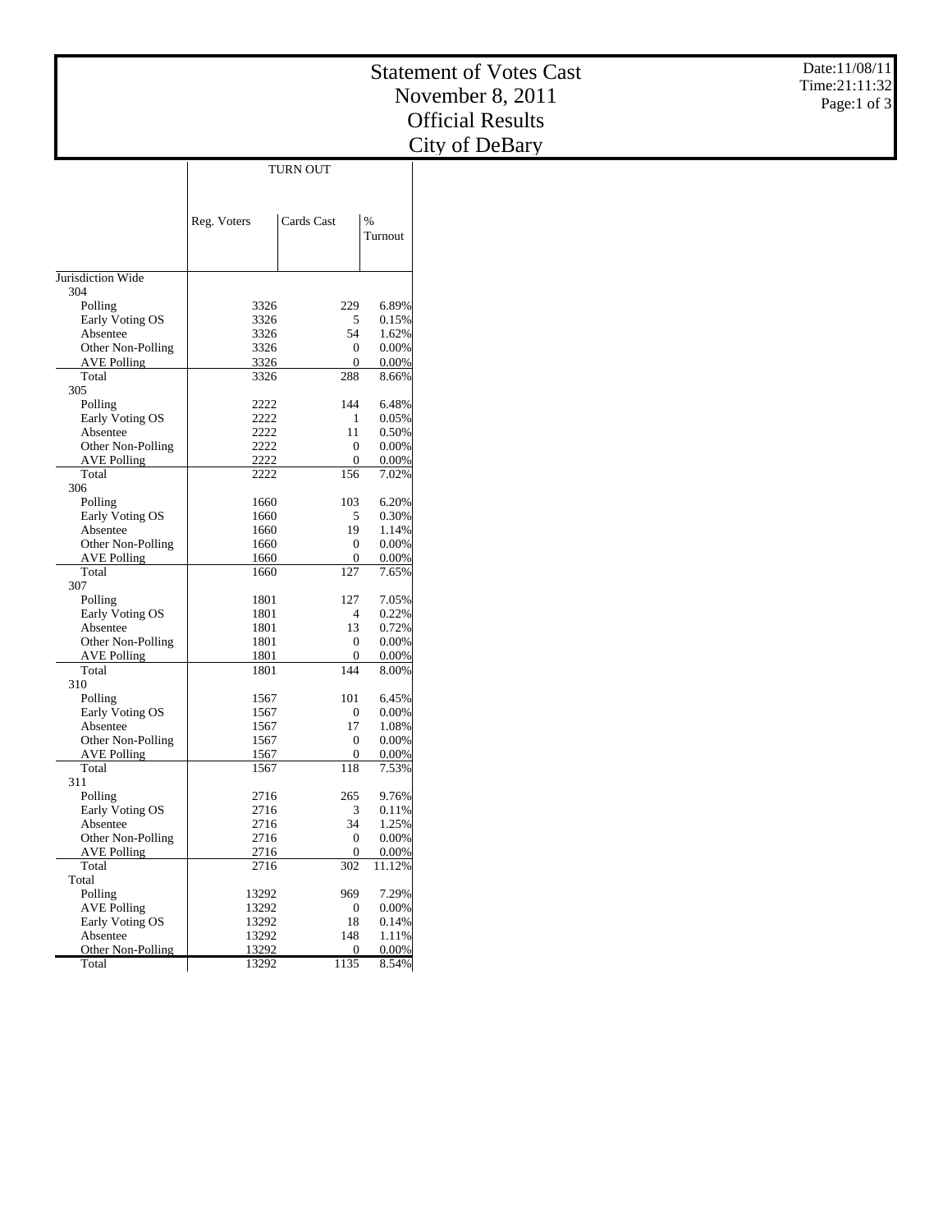|                                         |                |                                      | <b>Statement of Votes Cast</b> | Date:11/08/11 |
|-----------------------------------------|----------------|--------------------------------------|--------------------------------|---------------|
|                                         |                |                                      | November 8, 2011               | Time:21:11:32 |
|                                         |                |                                      |                                | Page:1 of $3$ |
|                                         |                |                                      | <b>Official Results</b>        |               |
|                                         |                |                                      | City of DeBary                 |               |
|                                         |                | TURN OUT                             |                                |               |
|                                         |                |                                      |                                |               |
|                                         |                |                                      |                                |               |
|                                         | Reg. Voters    | Cards Cast                           | $\%$<br>Turnout                |               |
|                                         |                |                                      |                                |               |
|                                         |                |                                      |                                |               |
| Jurisdiction Wide<br>304                |                |                                      |                                |               |
| Polling                                 | 3326           | 229                                  | 6.89%                          |               |
| Early Voting OS                         | 3326           | 5                                    | 0.15%                          |               |
| Absentee                                | 3326           | 54                                   | 1.62%                          |               |
| Other Non-Polling                       | 3326           | $\boldsymbol{0}$                     | 0.00%                          |               |
| <b>AVE Polling</b><br>Total             | 3326<br>3326   | $\mathbf{0}$<br>288                  | 0.00%<br>8.66%                 |               |
| 305                                     |                |                                      |                                |               |
| Polling                                 | 2222           | 144                                  | 6.48%                          |               |
| Early Voting OS                         | 2222           | $\mathbf{1}$                         | 0.05%                          |               |
| Absentee                                | 2222           | 11                                   | 0.50%                          |               |
| Other Non-Polling                       | 2222           | $\boldsymbol{0}$                     | 0.00%                          |               |
| <b>AVE Polling</b><br>Total             | 2222<br>2222   | $\mathbf{0}$<br>156                  | 0.00%<br>7.02%                 |               |
| 306                                     |                |                                      |                                |               |
| Polling                                 | 1660           | 103                                  | 6.20%                          |               |
| Early Voting OS                         | 1660           | 5                                    | 0.30%                          |               |
| Absentee                                | 1660           | 19                                   | 1.14%                          |               |
| Other Non-Polling<br><b>AVE Polling</b> | 1660           | $\boldsymbol{0}$                     | 0.00%                          |               |
| Total                                   | 1660<br>1660   | $\boldsymbol{0}$<br>127              | 0.00%<br>7.65%                 |               |
| 307                                     |                |                                      |                                |               |
| Polling                                 | 1801           | 127                                  | 7.05%                          |               |
| Early Voting OS                         | 1801           | $\overline{4}$                       | 0.22%                          |               |
| Absentee                                | 1801           | 13                                   | 0.72%                          |               |
| Other Non-Polling<br><b>AVE Polling</b> | 1801<br>1801   | $\boldsymbol{0}$<br>$\boldsymbol{0}$ | 0.00%<br>0.00%                 |               |
| Total                                   | 1801           | 144                                  | 8.00%                          |               |
| 310                                     |                |                                      |                                |               |
| Polling                                 | 1567           | 101                                  | 6.45%                          |               |
| Early Voting OS                         | 1567           | $\boldsymbol{0}$                     | $0.00\%$                       |               |
| Absentee<br>Other Non-Polling           | 1567<br>1567   | 17<br>$\mathbf{0}$                   | 1.08%<br>0.00%                 |               |
| <b>AVE Polling</b>                      | 1567           | $\boldsymbol{0}$                     | 0.00%                          |               |
| Total                                   | 1567           | 118                                  | 7.53%                          |               |
| 311                                     |                |                                      |                                |               |
| Polling                                 | 2716           | 265                                  | 9.76%                          |               |
| Early Voting OS                         | 2716           | 3                                    | 0.11%                          |               |
| Absentee                                | 2716           | 34                                   | 1.25%                          |               |
| Other Non-Polling<br><b>AVE Polling</b> | 2716<br>2716   | $\boldsymbol{0}$<br>$\mathbf{0}$     | 0.00%<br>0.00%                 |               |
| Total                                   | 2716           | 302                                  | 11.12%                         |               |
| Total                                   |                |                                      |                                |               |
| Polling                                 | 13292          | 969                                  | 7.29%                          |               |
| <b>AVE Polling</b>                      | 13292          | $\mathbf{0}$                         | 0.00%                          |               |
| Early Voting OS                         | 13292          | 18                                   | 0.14%                          |               |
| Absentee<br>Other Non-Polling           | 13292<br>13292 | 148<br>$\overline{0}$                | 1.11%<br>0.00%                 |               |
| Total                                   | 13292          | 1135                                 | 8.54%                          |               |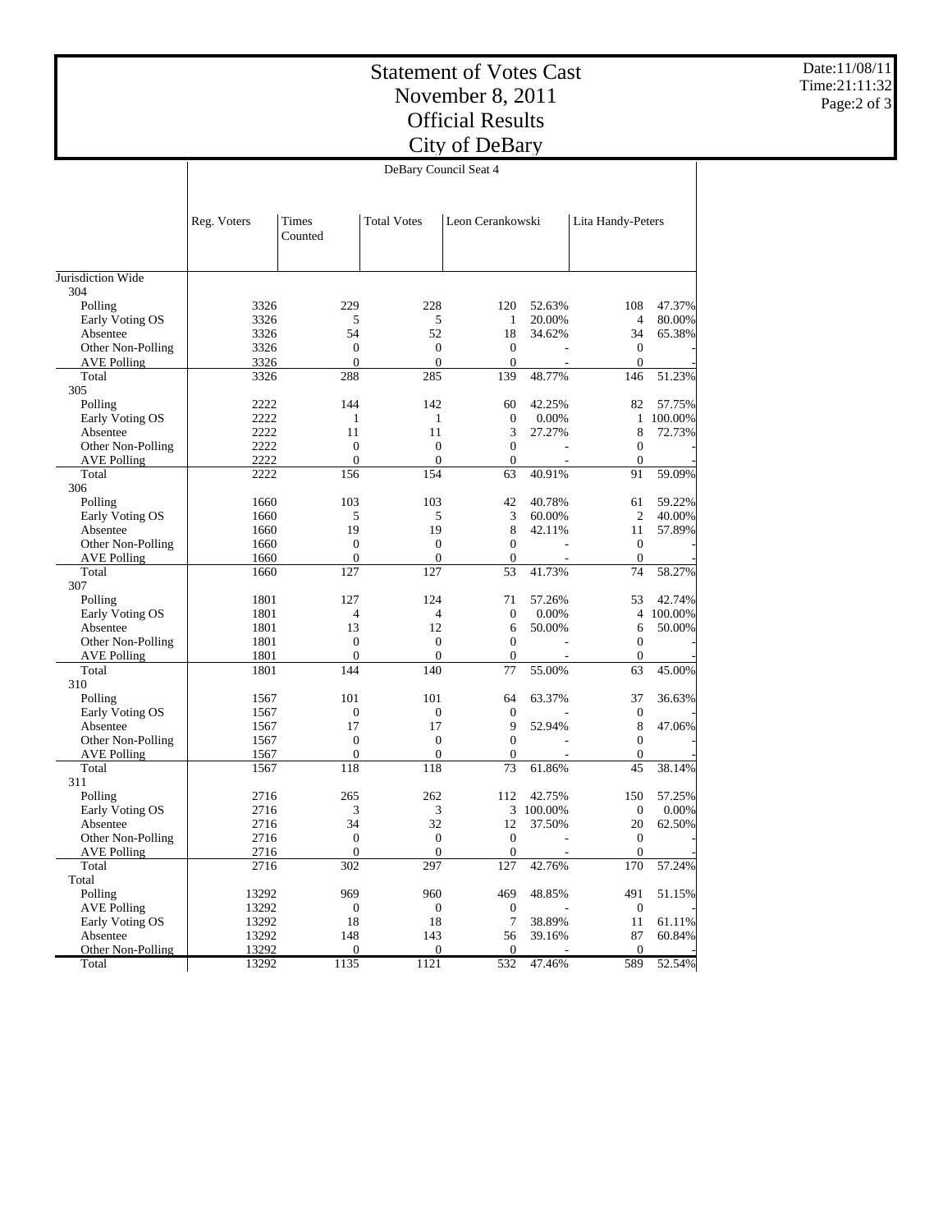## Statement of Votes Cast November 8, 2011 Official Results City of DeBary

Date:11/08/11 Time:21:11:32 Page:2 of 3

|                             | DeBary Council Seat 4 |                                  |                                  |                     |           |                                  |           |  |  |
|-----------------------------|-----------------------|----------------------------------|----------------------------------|---------------------|-----------|----------------------------------|-----------|--|--|
|                             |                       |                                  |                                  |                     |           |                                  |           |  |  |
|                             | Reg. Voters           | <b>Times</b><br>Counted          | <b>Total Votes</b>               | Leon Cerankowski    |           | Lita Handy-Peters                |           |  |  |
| Jurisdiction Wide           |                       |                                  |                                  |                     |           |                                  |           |  |  |
| 304                         |                       |                                  |                                  |                     |           |                                  |           |  |  |
| Polling                     | 3326                  | 229                              | 228                              | 120                 | 52.63%    | 108                              | 47.37%    |  |  |
| Early Voting OS             | 3326                  | 5                                | 5                                | $\mathbf{1}$        | 20.00%    | $\overline{4}$                   | 80.00%    |  |  |
| Absentee                    | 3326                  | 54                               | 52                               | 18                  | 34.62%    | 34                               | 65.38%    |  |  |
| Other Non-Polling           | 3326                  | $\boldsymbol{0}$                 | $\boldsymbol{0}$                 | $\boldsymbol{0}$    |           | $\boldsymbol{0}$                 |           |  |  |
| <b>AVE Polling</b>          | 3326                  | $\mathbf{0}$                     | $\mathbf{0}$                     | $\mathbf{0}$<br>139 |           | $\mathbf{0}$                     | 51.23%    |  |  |
| Total<br>305                | 3326                  | 288                              | 285                              |                     | 48.77%    | 146                              |           |  |  |
|                             | 2222                  | 144                              | 142                              | 60                  | 42.25%    | 82                               | 57.75%    |  |  |
| Polling<br>Early Voting OS  | 2222                  | 1                                | $\mathbf{1}$                     | $\mathbf{0}$        | 0.00%     |                                  | 1 100.00% |  |  |
| Absentee                    | 2222                  | 11                               | 11                               | 3                   | 27.27%    | 8                                |           |  |  |
|                             | 2222                  | $\boldsymbol{0}$                 | $\boldsymbol{0}$                 | $\overline{0}$      |           | $\boldsymbol{0}$                 | 72.73%    |  |  |
| Other Non-Polling           | 2222                  | $\overline{0}$                   | $\mathbf{0}$                     | $\mathbf{0}$        |           | $\mathbf{0}$                     |           |  |  |
| <b>AVE Polling</b><br>Total | 2222                  | 156                              | 154                              | 63                  | 40.91%    | 91                               | 59.09%    |  |  |
| 306                         |                       |                                  |                                  |                     |           |                                  |           |  |  |
| Polling                     | 1660                  | 103                              | 103                              | 42                  | 40.78%    | 61                               | 59.22%    |  |  |
|                             |                       | 5                                |                                  | 3                   |           | $\overline{2}$                   | 40.00%    |  |  |
| Early Voting OS             | 1660                  | 19                               | 5<br>19                          | 8                   | 60.00%    |                                  | 57.89%    |  |  |
| Absentee                    | 1660                  |                                  |                                  | $\overline{0}$      | 42.11%    | 11                               |           |  |  |
| Other Non-Polling           | 1660                  | $\boldsymbol{0}$<br>$\mathbf{0}$ | $\boldsymbol{0}$<br>$\mathbf{0}$ | $\mathbf{0}$        |           | $\boldsymbol{0}$<br>$\mathbf{0}$ |           |  |  |
| <b>AVE Polling</b><br>Total | 1660<br>1660          | 127                              | 127                              | 53                  |           | 74                               | 58.27%    |  |  |
| 307                         |                       |                                  |                                  |                     | 41.73%    |                                  |           |  |  |
| Polling                     | 1801                  | 127                              | 124                              | 71                  | 57.26%    | 53                               | 42.74%    |  |  |
| Early Voting OS             | 1801                  | 4                                | $\overline{4}$                   | $\theta$            | 0.00%     |                                  | 4 100.00% |  |  |
| Absentee                    | 1801                  | 13                               | 12                               | 6                   | 50.00%    | 6                                | 50.00%    |  |  |
| Other Non-Polling           | 1801                  | $\boldsymbol{0}$                 | $\boldsymbol{0}$                 | $\boldsymbol{0}$    |           | $\boldsymbol{0}$                 |           |  |  |
| <b>AVE Polling</b>          | 1801                  | $\mathbf{0}$                     | $\mathbf{0}$                     | $\mathbf{0}$        |           | $\mathbf{0}$                     |           |  |  |
| Total                       | 1801                  | 144                              | 140                              | 77                  | 55.00%    | 63                               | 45.00%    |  |  |
| 310                         |                       |                                  |                                  |                     |           |                                  |           |  |  |
| Polling                     | 1567                  | 101                              | 101                              | 64                  | 63.37%    | 37                               | 36.63%    |  |  |
| Early Voting OS             | 1567                  | $\boldsymbol{0}$                 | $\boldsymbol{0}$                 | $\mathbf{0}$        |           | $\boldsymbol{0}$                 |           |  |  |
| Absentee                    | 1567                  | 17                               | 17                               | 9                   | 52.94%    | 8                                | 47.06%    |  |  |
| Other Non-Polling           | 1567                  | $\boldsymbol{0}$                 | $\boldsymbol{0}$                 | $\mathbf{0}$        |           | $\boldsymbol{0}$                 |           |  |  |
| <b>AVE Polling</b>          | 1567                  | $\overline{0}$                   | $\mathbf{0}$                     | $\mathbf{0}$        |           | $\mathbf{0}$                     |           |  |  |
| Total                       | 1567                  | 118                              | 118                              | 73                  | 61.86%    | 45                               | 38.14%    |  |  |
| 311                         |                       |                                  |                                  |                     |           |                                  |           |  |  |
| Polling                     | 2716                  | 265                              | 262                              | 112                 | 42.75%    | 150                              | 57.25%    |  |  |
| Early Voting OS             | 2716                  | 3                                | 3                                |                     | 3 100.00% | $\mathbf{0}$                     | 0.00%     |  |  |
| Absentee                    | 2716                  | 34                               | 32                               | 12                  | 37.50%    | 20                               | 62.50%    |  |  |
| Other Non-Polling           | 2716                  | $\boldsymbol{0}$                 | $\boldsymbol{0}$                 | $\boldsymbol{0}$    |           | $\boldsymbol{0}$                 |           |  |  |
| <b>AVE Polling</b>          | 2716                  | $\mathbf{0}$                     | $\mathbf{0}$                     | $\mathbf{0}$        |           | $\mathbf{0}$                     |           |  |  |
| Total                       | 2716                  | 302                              | 297                              | 127                 | 42.76%    | 170                              | 57.24%    |  |  |
| Total                       |                       |                                  |                                  |                     |           |                                  |           |  |  |
| Polling                     | 13292                 | 969                              | 960                              | 469                 | 48.85%    | 491                              | 51.15%    |  |  |
| <b>AVE Polling</b>          | 13292                 | $\boldsymbol{0}$                 | $\boldsymbol{0}$                 | $\mathbf{0}$        |           | $\theta$                         |           |  |  |
| Early Voting OS             | 13292                 | 18                               | 18                               | 7                   | 38.89%    | 11                               | 61.11%    |  |  |
| Absentee                    | 13292                 | 148                              | 143                              | 56                  | 39.16%    | 87                               | 60.84%    |  |  |
| Other Non-Polling           | 13292                 | $\overline{0}$                   | $\mathbf{0}$                     | $\mathbf{0}$        |           | $\mathbf{0}$                     |           |  |  |
| Total                       | 13292                 | 1135                             | 1121                             | 532                 | 47.46%    | 589                              | 52.54%    |  |  |